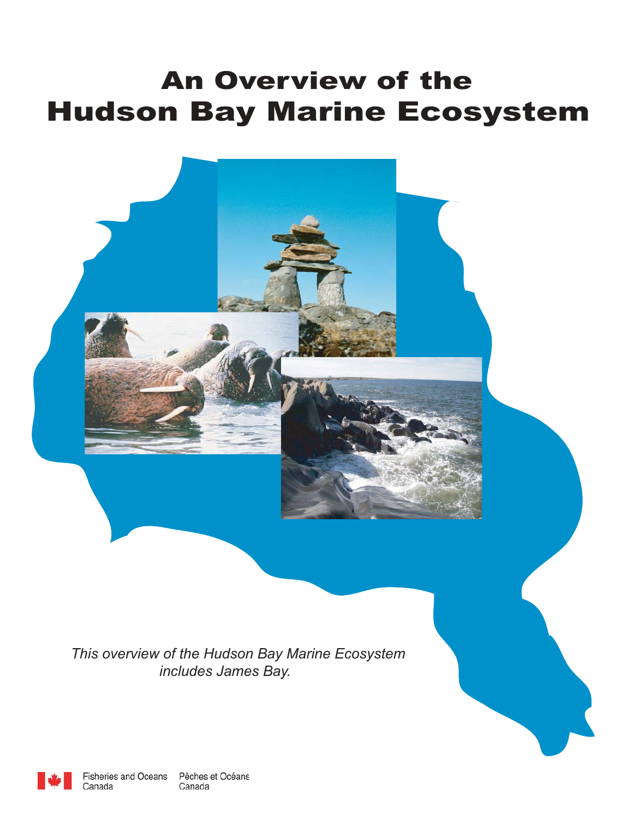# An Overview of the Hudson Bay Marine Ecosystem



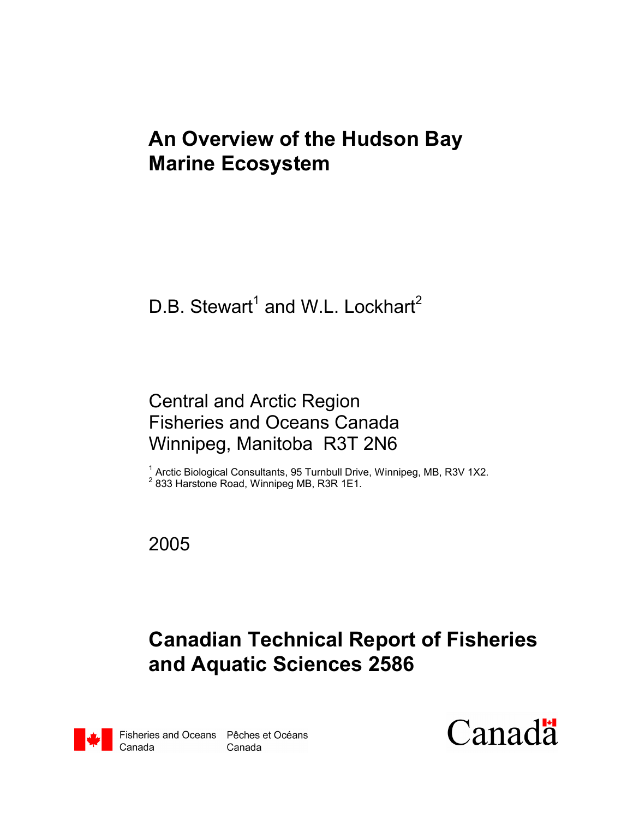# **An Overview of the Hudson Bay Marine Ecosystem**

# D.B. Stewart<sup>1</sup> and W.L. Lockhart<sup>2</sup>

### Central and Arctic Region Fisheries and Oceans Canada Winnipeg, Manitoba R3T 2N6

<sup>1</sup> Arctic Biological Consultants, 95 Turnbull Drive, Winnipeg, MB, R3V 1X2. <sup>2</sup> 833 Harstone Road, Winnipeg MB, R3R 1E1.

2005

# **Canadian Technical Report of Fisheries and Aquatic Sciences 2586**



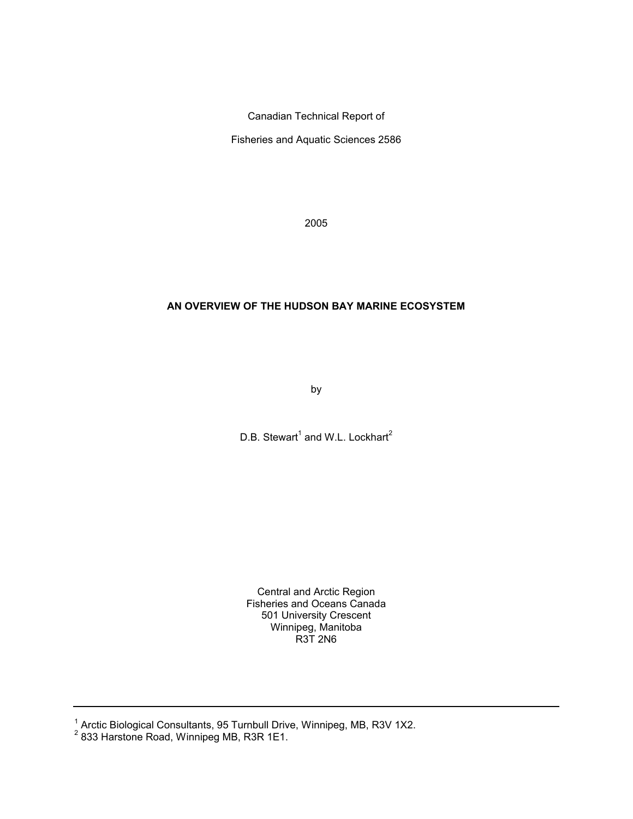Canadian Technical Report of

Fisheries and Aquatic Sciences 2586

2005

#### **AN OVERVIEW OF THE HUDSON BAY MARINE ECOSYSTEM**

by

D.B. Stewart<sup>1</sup> and W.L. Lockhart<sup>2</sup>

Central and Arctic Region Fisheries and Oceans Canada 501 University Crescent Winnipeg, Manitoba R3T 2N6

<sup>1</sup> Arctic Biological Consultants, 95 Turnbull Drive, Winnipeg, MB, R3V 1X2.<br><sup>2</sup> 833 Harstone Road, Winnipeg MB, R3R 1E1.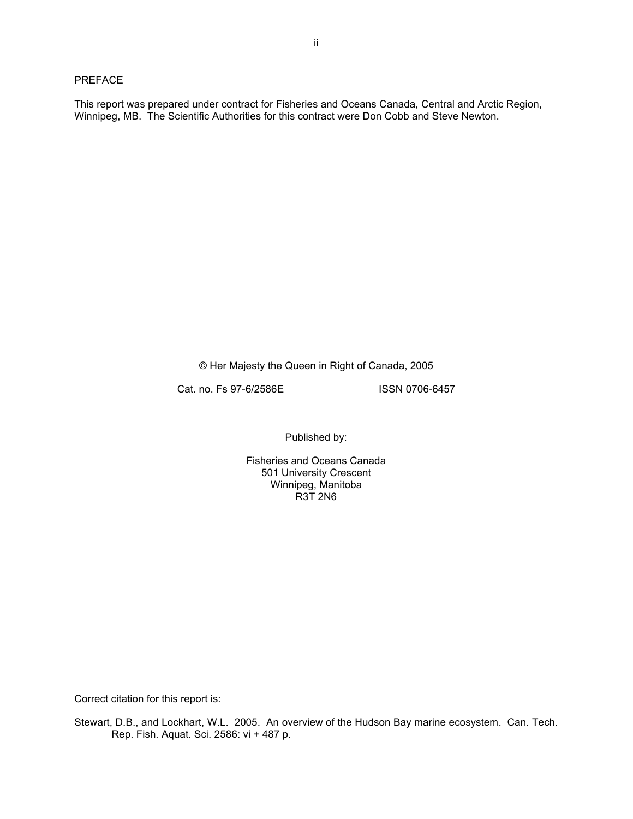#### PREFACE

This report was prepared under contract for Fisheries and Oceans Canada, Central and Arctic Region, Winnipeg, MB. The Scientific Authorities for this contract were Don Cobb and Steve Newton.

© Her Majesty the Queen in Right of Canada, 2005

Cat. no. Fs 97-6/2586E ISSN 0706-6457

Published by:

Fisheries and Oceans Canada 501 University Crescent Winnipeg, Manitoba  $R3T2N6$ 

Correct citation for this report is:

Stewart, D.B., and Lockhart, W.L. 2005. An overview of the Hudson Bay marine ecosystem. Can. Tech. Rep. Fish. Aquat. Sci. 2586: vi + 487 p.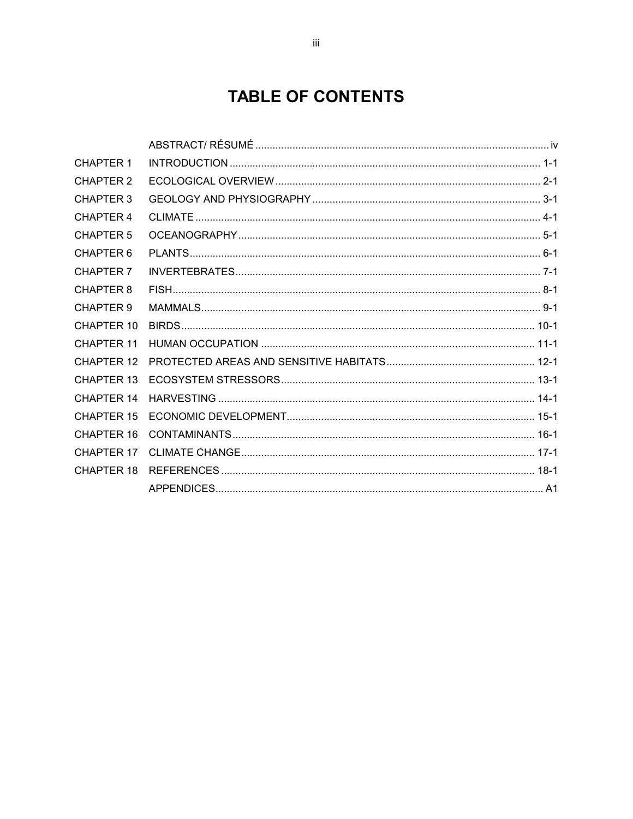### **TABLE OF CONTENTS**

| <b>CHAPTER 1</b>  |  |
|-------------------|--|
| <b>CHAPTER 2</b>  |  |
| <b>CHAPTER 3</b>  |  |
| <b>CHAPTER 4</b>  |  |
| <b>CHAPTER 5</b>  |  |
| CHAPTER 6         |  |
| CHAPTER 7         |  |
| <b>CHAPTER 8</b>  |  |
| CHAPTER 9         |  |
| <b>CHAPTER 10</b> |  |
| <b>CHAPTER 11</b> |  |
| <b>CHAPTER 12</b> |  |
| CHAPTER 13        |  |
| CHAPTER 14        |  |
| CHAPTER 15        |  |
| <b>CHAPTER 16</b> |  |
| <b>CHAPTER 17</b> |  |
| CHAPTER 18        |  |
|                   |  |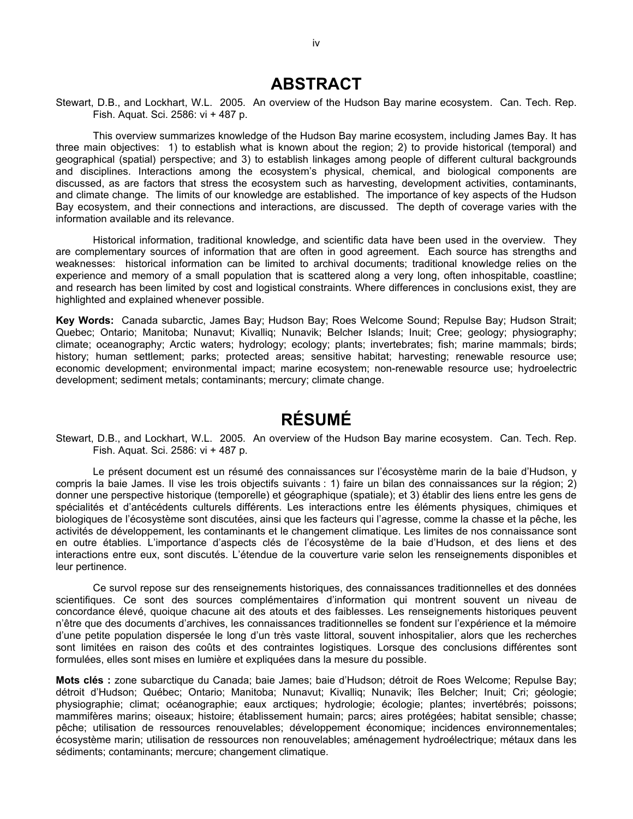#### **ABSTRACT**

Stewart, D.B., and Lockhart, W.L. 2005. An overview of the Hudson Bay marine ecosystem. Can. Tech. Rep. Fish. Aquat. Sci. 2586: vi + 487 p.

This overview summarizes knowledge of the Hudson Bay marine ecosystem, including James Bay. It has three main objectives: 1) to establish what is known about the region; 2) to provide historical (temporal) and geographical (spatial) perspective; and 3) to establish linkages among people of different cultural backgrounds and disciplines. Interactions among the ecosystem's physical, chemical, and biological components are discussed, as are factors that stress the ecosystem such as harvesting, development activities, contaminants, and climate change. The limits of our knowledge are established. The importance of key aspects of the Hudson Bay ecosystem, and their connections and interactions, are discussed. The depth of coverage varies with the information available and its relevance.

Historical information, traditional knowledge, and scientific data have been used in the overview. They are complementary sources of information that are often in good agreement. Each source has strengths and weaknesses: historical information can be limited to archival documents; traditional knowledge relies on the experience and memory of a small population that is scattered along a very long, often inhospitable, coastline; and research has been limited by cost and logistical constraints. Where differences in conclusions exist, they are highlighted and explained whenever possible.

**Key Words:** Canada subarctic, James Bay; Hudson Bay; Roes Welcome Sound; Repulse Bay; Hudson Strait; Quebec; Ontario; Manitoba; Nunavut; Kivalliq; Nunavik; Belcher Islands; Inuit; Cree; geology; physiography; climate; oceanography; Arctic waters; hydrology; ecology; plants; invertebrates; fish; marine mammals; birds; history; human settlement; parks; protected areas; sensitive habitat; harvesting; renewable resource use; economic development; environmental impact; marine ecosystem; non-renewable resource use; hydroelectric development; sediment metals; contaminants; mercury; climate change.

### **RÉSUMÉ**

Stewart, D.B., and Lockhart, W.L. 2005. An overview of the Hudson Bay marine ecosystem. Can. Tech. Rep. Fish. Aquat. Sci. 2586: vi + 487 p.

Le présent document est un résumé des connaissances sur l'écosystème marin de la baie d'Hudson, y compris la baie James. Il vise les trois objectifs suivants : 1) faire un bilan des connaissances sur la région; 2) donner une perspective historique (temporelle) et géographique (spatiale); et 3) établir des liens entre les gens de spécialités et d'antécédents culturels différents. Les interactions entre les éléments physiques, chimiques et biologiques de l'écosystème sont discutées, ainsi que les facteurs qui l'agresse, comme la chasse et la pêche, les activités de développement, les contaminants et le changement climatique. Les limites de nos connaissance sont en outre établies. L'importance d'aspects clés de l'écosystème de la baie d'Hudson, et des liens et des interactions entre eux, sont discutés. L'étendue de la couverture varie selon les renseignements disponibles et leur pertinence.

Ce survol repose sur des renseignements historiques, des connaissances traditionnelles et des données scientifiques. Ce sont des sources complémentaires d'information qui montrent souvent un niveau de concordance élevé, quoique chacune ait des atouts et des faiblesses. Les renseignements historiques peuvent n'être que des documents d'archives, les connaissances traditionnelles se fondent sur l'expérience et la mémoire d'une petite population dispersée le long d'un très vaste littoral, souvent inhospitalier, alors que les recherches sont limitées en raison des coûts et des contraintes logistiques. Lorsque des conclusions différentes sont formulées, elles sont mises en lumière et expliquées dans la mesure du possible.

**Mots clés :** zone subarctique du Canada; baie James; baie d'Hudson; détroit de Roes Welcome; Repulse Bay; détroit d'Hudson; Québec; Ontario; Manitoba; Nunavut; Kivalliq; Nunavik; îles Belcher; Inuit; Cri; géologie; physiographie; climat; océanographie; eaux arctiques; hydrologie; écologie; plantes; invertébrés; poissons; mammifères marins; oiseaux; histoire; établissement humain; parcs; aires protégées; habitat sensible; chasse; pêche; utilisation de ressources renouvelables; développement économique; incidences environnementales; écosystème marin; utilisation de ressources non renouvelables; aménagement hydroélectrique; métaux dans les sédiments; contaminants; mercure; changement climatique.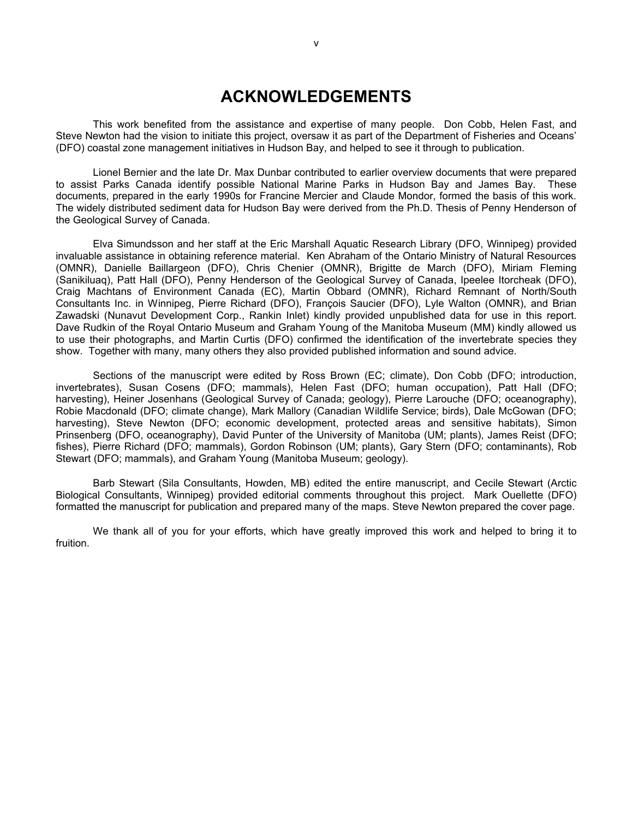#### **ACKNOWLEDGEMENTS**

This work benefited from the assistance and expertise of many people. Don Cobb, Helen Fast, and Steve Newton had the vision to initiate this project, oversaw it as part of the Department of Fisheries and Oceans' (DFO) coastal zone management initiatives in Hudson Bay, and helped to see it through to publication.

Lionel Bernier and the late Dr. Max Dunbar contributed to earlier overview documents that were prepared to assist Parks Canada identify possible National Marine Parks in Hudson Bay and James Bay. These documents, prepared in the early 1990s for Francine Mercier and Claude Mondor, formed the basis of this work. The widely distributed sediment data for Hudson Bay were derived from the Ph.D. Thesis of Penny Henderson of the Geological Survey of Canada.

Elva Simundsson and her staff at the Eric Marshall Aquatic Research Library (DFO, Winnipeg) provided invaluable assistance in obtaining reference material. Ken Abraham of the Ontario Ministry of Natural Resources (OMNR), Danielle Baillargeon (DFO), Chris Chenier (OMNR), Brigitte de March (DFO), Miriam Fleming (Sanikiluaq), Patt Hall (DFO), Penny Henderson of the Geological Survey of Canada, Ipeelee Itorcheak (DFO), Craig Machtans of Environment Canada (EC), Martin Obbard (OMNR), Richard Remnant of North/South Consultants Inc. in Winnipeg, Pierre Richard (DFO), François Saucier (DFO), Lyle Walton (OMNR), and Brian Zawadski (Nunavut Development Corp., Rankin Inlet) kindly provided unpublished data for use in this report. Dave Rudkin of the Royal Ontario Museum and Graham Young of the Manitoba Museum (MM) kindly allowed us to use their photographs, and Martin Curtis (DFO) confirmed the identification of the invertebrate species they show. Together with many, many others they also provided published information and sound advice.

Sections of the manuscript were edited by Ross Brown (EC; climate), Don Cobb (DFO; introduction, invertebrates), Susan Cosens (DFO; mammals), Helen Fast (DFO; human occupation), Patt Hall (DFO; harvesting), Heiner Josenhans (Geological Survey of Canada; geology), Pierre Larouche (DFO; oceanography), Robie Macdonald (DFO; climate change), Mark Mallory (Canadian Wildlife Service; birds), Dale McGowan (DFO; harvesting), Steve Newton (DFO; economic development, protected areas and sensitive habitats), Simon Prinsenberg (DFO, oceanography), David Punter of the University of Manitoba (UM; plants), James Reist (DFO; fishes), Pierre Richard (DFO; mammals), Gordon Robinson (UM; plants), Gary Stern (DFO; contaminants), Rob Stewart (DFO; mammals), and Graham Young (Manitoba Museum; geology).

Barb Stewart (Sila Consultants, Howden, MB) edited the entire manuscript, and Cecile Stewart (Arctic Biological Consultants, Winnipeg) provided editorial comments throughout this project. Mark Ouellette (DFO) formatted the manuscript for publication and prepared many of the maps. Steve Newton prepared the cover page.

We thank all of you for your efforts, which have greatly improved this work and helped to bring it to fruition.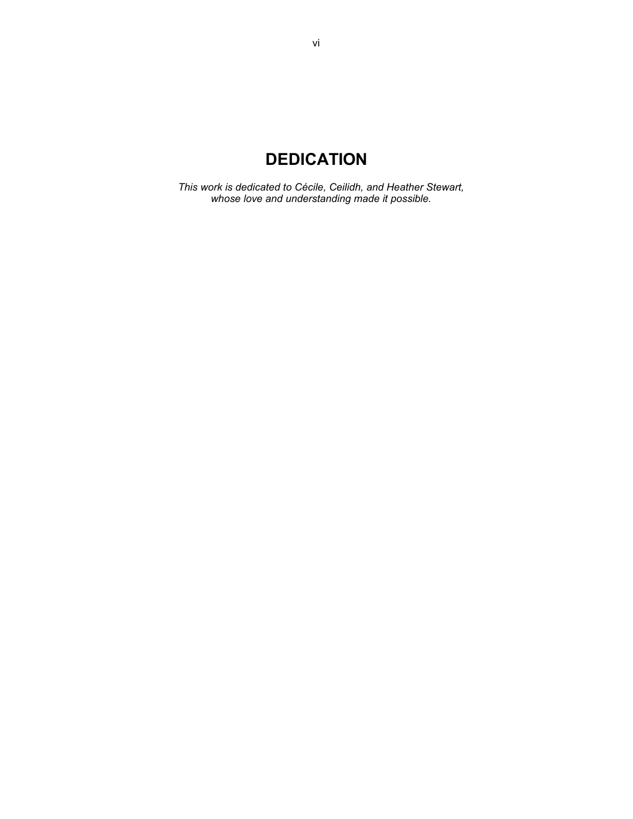### **DEDICATION**

*This work is dedicated to Cécile, Ceilidh, and Heather Stewart, whose love and understanding made it possible.*